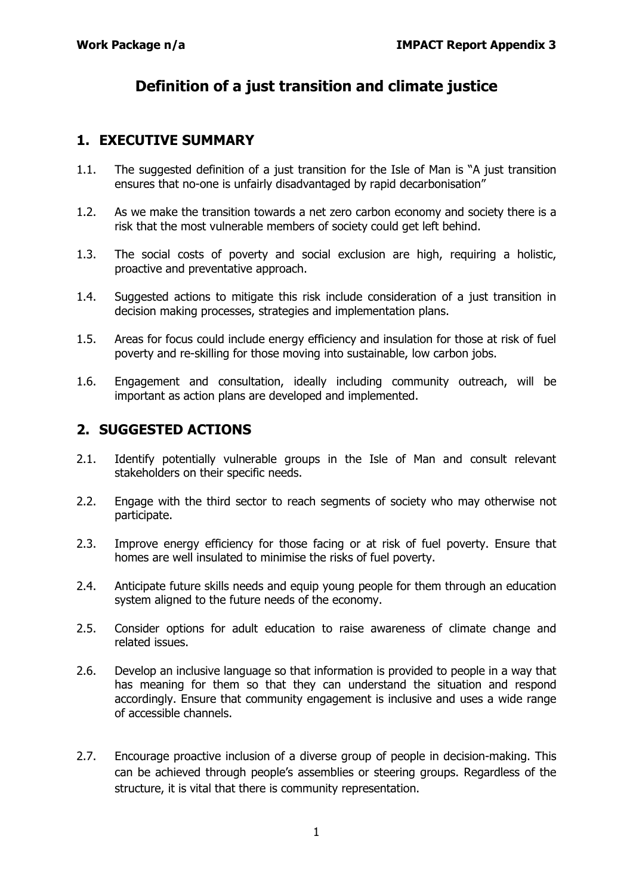## **Definition of a just transition and climate justice**

## **1. EXECUTIVE SUMMARY**

- 1.1. The suggested definition of a just transition for the Isle of Man is "A just transition ensures that no-one is unfairly disadvantaged by rapid decarbonisation"
- 1.2. As we make the transition towards a net zero carbon economy and society there is a risk that the most vulnerable members of society could get left behind.
- 1.3. The social costs of poverty and social exclusion are high, requiring a holistic, proactive and preventative approach.
- 1.4. Suggested actions to mitigate this risk include consideration of a just transition in decision making processes, strategies and implementation plans.
- 1.5. Areas for focus could include energy efficiency and insulation for those at risk of fuel poverty and re-skilling for those moving into sustainable, low carbon jobs.
- 1.6. Engagement and consultation, ideally including community outreach, will be important as action plans are developed and implemented.

## **2. SUGGESTED ACTIONS**

- 2.1. Identify potentially vulnerable groups in the Isle of Man and consult relevant stakeholders on their specific needs.
- 2.2. Engage with the third sector to reach segments of society who may otherwise not participate.
- 2.3. Improve energy efficiency for those facing or at risk of fuel poverty. Ensure that homes are well insulated to minimise the risks of fuel poverty.
- 2.4. Anticipate future skills needs and equip young people for them through an education system aligned to the future needs of the economy.
- 2.5. Consider options for adult education to raise awareness of climate change and related issues.
- 2.6. Develop an inclusive language so that information is provided to people in a way that has meaning for them so that they can understand the situation and respond accordingly. Ensure that community engagement is inclusive and uses a wide range of accessible channels.
- 2.7. Encourage proactive inclusion of a diverse group of people in decision-making. This can be achieved through people's assemblies or steering groups. Regardless of the structure, it is vital that there is community representation.